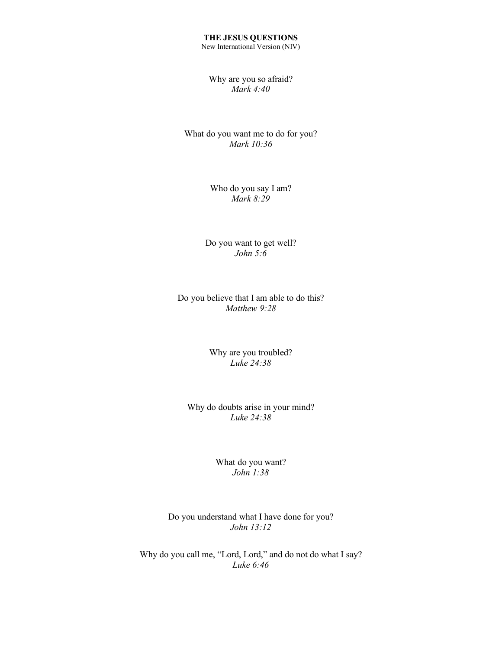# **THE JESUS QUESTIONS**

New International Version (NIV)

### Why are you so afraid? *Mark 4:40*

### What do you want me to do for you? *Mark 10:36*

## Who do you say I am? *Mark 8:29*

Do you want to get well? *John 5:6*

Do you believe that I am able to do this? *Matthew 9:28*

> Why are you troubled? *Luke 24:38*

Why do doubts arise in your mind? *Luke 24:38*

#### What do you want? *John 1:38*

Do you understand what I have done for you? *John 13:12*

Why do you call me, "Lord, Lord," and do not do what I say? *Luke 6:46*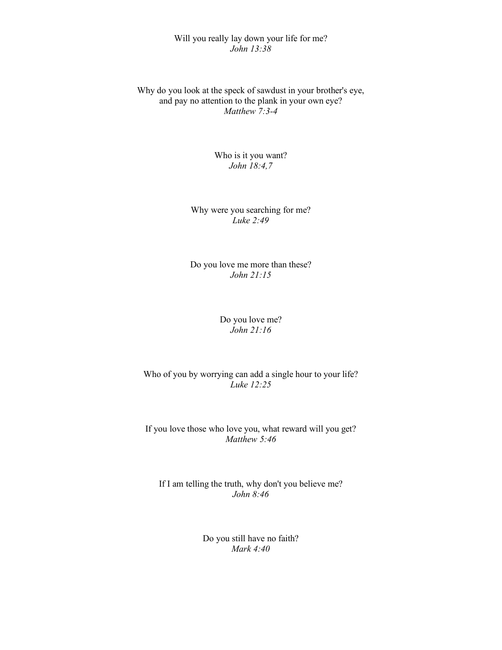## Will you really lay down your life for me? *John 13:38*

Why do you look at the speck of sawdust in your brother's eye, and pay no attention to the plank in your own eye? *Matthew 7:3-4*

> Who is it you want? *John 18:4,7*

Why were you searching for me? *Luke 2:49*

Do you love me more than these? *John 21:15*

## Do you love me? *John 21:16*

Who of you by worrying can add a single hour to your life? *Luke 12:25*

If you love those who love you, what reward will you get? *Matthew 5:46*

If I am telling the truth, why don't you believe me? *John 8:46*

> Do you still have no faith? *Mark 4:40*